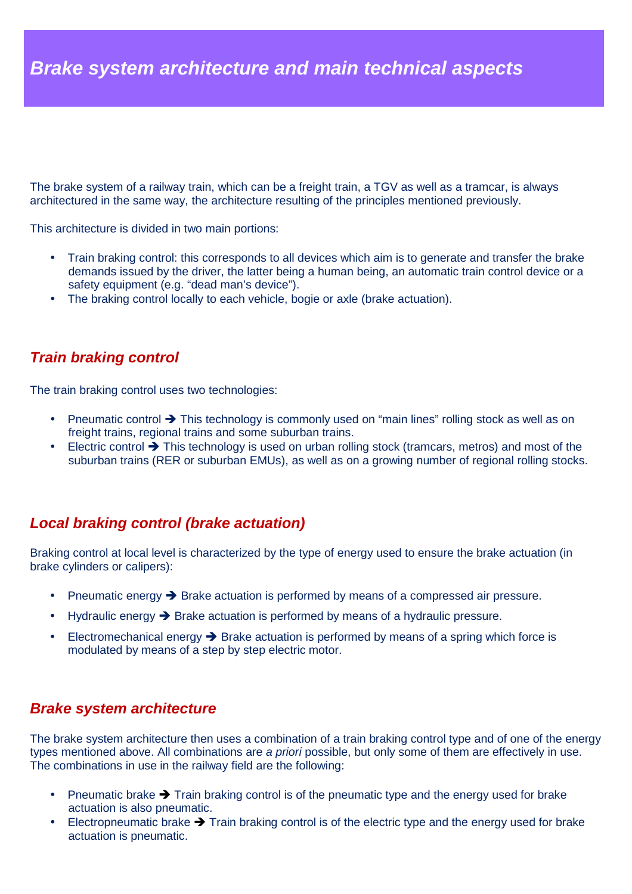The brake system of a railway train, which can be a freight train, a TGV as well as a tramcar, is always architectured in the same way, the architecture resulting of the principles mentioned previously.

This architecture is divided in two main portions:

- Train braking control: this corresponds to all devices which aim is to generate and transfer the brake demands issued by the driver, the latter being a human being, an automatic train control device or a safety equipment (e.g. "dead man's device").
- The braking control locally to each vehicle, bogie or axle (brake actuation).

## **Train braking control**

The train braking control uses two technologies:

- Pneumatic control  $\rightarrow$  This technology is commonly used on "main lines" rolling stock as well as on freight trains, regional trains and some suburban trains.
- Electric control  $\rightarrow$  This technology is used on urban rolling stock (tramcars, metros) and most of the suburban trains (RER or suburban EMUs), as well as on a growing number of regional rolling stocks.

## **Local braking control (brake actuation)**

Braking control at local level is characterized by the type of energy used to ensure the brake actuation (in brake cylinders or calipers):

- Pneumatic energy  $\rightarrow$  Brake actuation is performed by means of a compressed air pressure.
- Hydraulic energy  $\rightarrow$  Brake actuation is performed by means of a hydraulic pressure.
- Electromechanical energy  $\rightarrow$  Brake actuation is performed by means of a spring which force is modulated by means of a step by step electric motor.

## **Brake system architecture**

The brake system architecture then uses a combination of a train braking control type and of one of the energy types mentioned above. All combinations are a priori possible, but only some of them are effectively in use. The combinations in use in the railway field are the following:

- Pneumatic brake  $\rightarrow$  Train braking control is of the pneumatic type and the energy used for brake actuation is also pneumatic.
- Electropneumatic brake  $\rightarrow$  Train braking control is of the electric type and the energy used for brake actuation is pneumatic.